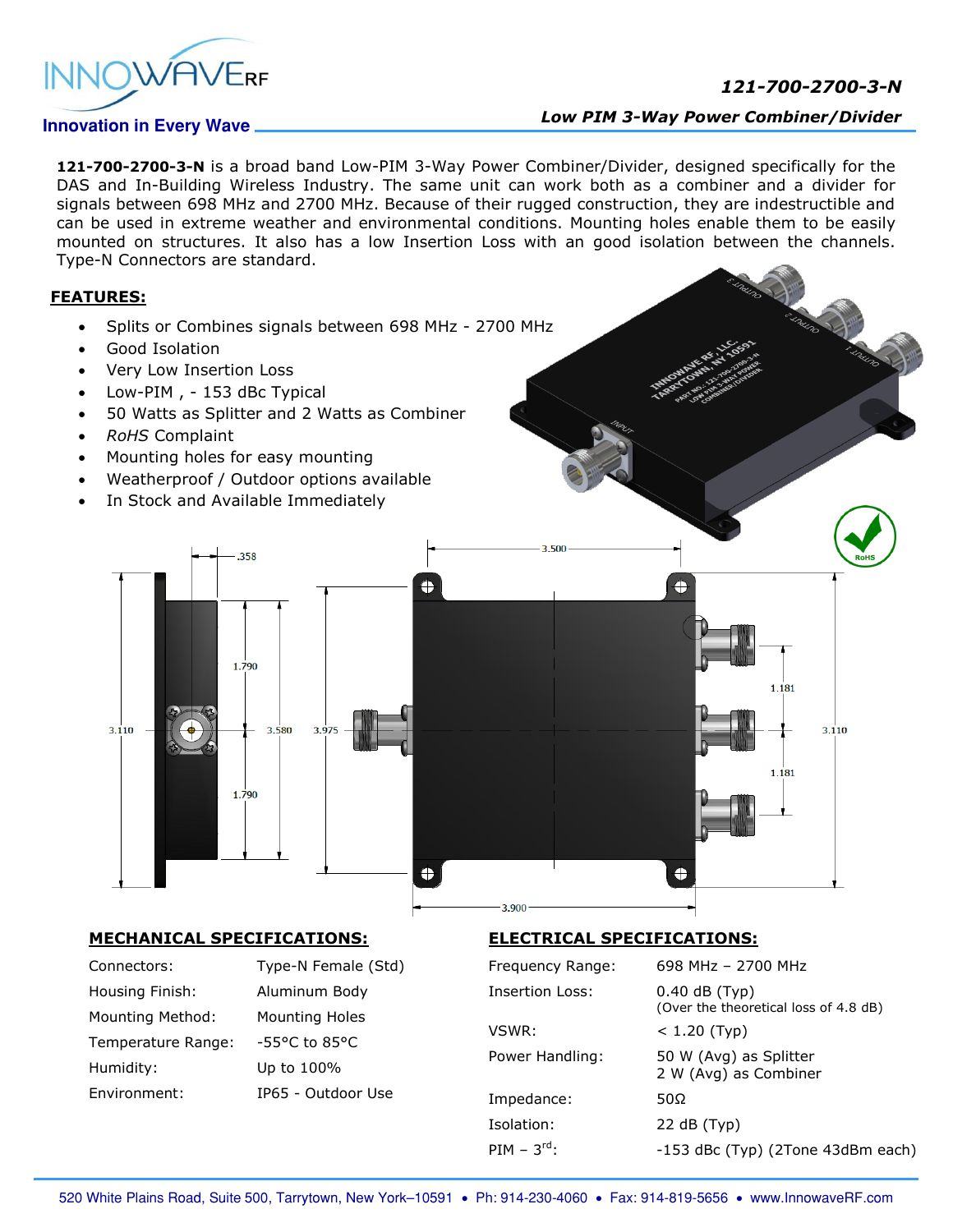

## *121-700-2700-3-N*

## **Innovation in Every Wave**

## *Low PIM 3-Way Power Combiner/Divider*

**121-700-2700-3-N** is a broad band Low-PIM 3-Way Power Combiner/Divider, designed specifically for the DAS and In-Building Wireless Industry. The same unit can work both as a combiner and a divider for signals between 698 MHz and 2700 MHz. Because of their rugged construction, they are indestructible and can be used in extreme weather and environmental conditions. Mounting holes enable them to be easily mounted on structures. It also has a low Insertion Loss with an good isolation between the channels. Type-N Connectors are standard.

3.500

## **FEATURES:**

- Splits or Combines signals between 698 MHz 2700 MHz
- Good Isolation
- Very Low Insertion Loss
- Low-PIM , 153 dBc Typical
- 50 Watts as Splitter and 2 Watts as Combiner
- *RoHS* Complaint
- Mounting holes for easy mounting
- Weatherproof / Outdoor options available
- In Stock and Available Immediately



#### **MECHANICAL SPECIFICATIONS:**

| Connectors:             |
|-------------------------|
| Housing Finish:         |
| <b>Mounting Method:</b> |
| Temperature Range:      |
| Humidity:               |
| Environment:            |

Type-N Female (Std) Aluminum Body Mounting Holes -55°C to 85°C Up to 100% IP65 - Outdoor Use

## **ELECTRICAL SPECIFICATIONS:**

| Frequency Range: | 698 MHz - 2700 MHz                                       |
|------------------|----------------------------------------------------------|
| Insertion Loss:  | $0.40$ dB (Typ)<br>(Over the theoretical loss of 4.8 dB) |
| VSWR:            | $< 1.20$ (Typ)                                           |
| Power Handling:  | 50 W (Avg) as Splitter<br>2 W (Avg) as Combiner          |
| Impedance:       | 50Ω                                                      |
| Isolation:       | 22 dB (Typ)                                              |
| PIM – $3^{rd}$ : | -153 dBc (Typ) (2Tone 43dBm each)                        |

Ŧ

1.181

1.181

3.110

3.900